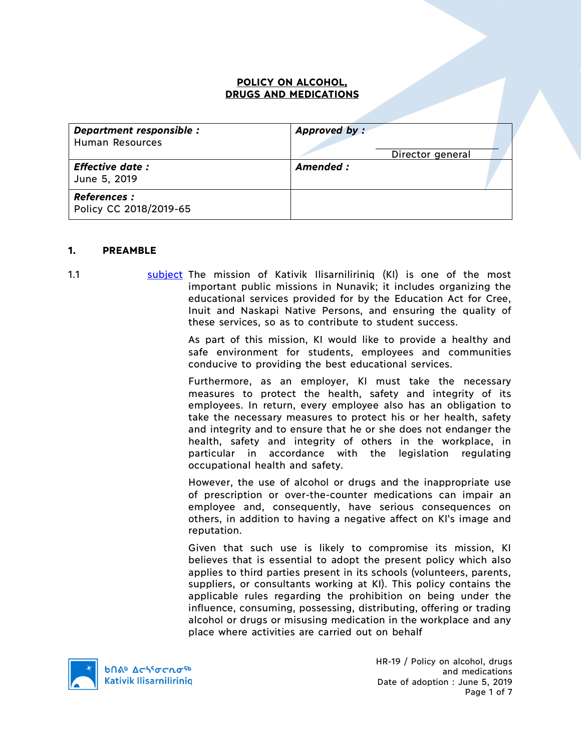#### **POLICY ON ALCOHOL, DRUGS AND MEDICATIONS**

| Department responsible :<br><b>Human Resources</b> | Approved by:<br>Director general |  |
|----------------------------------------------------|----------------------------------|--|
| <b>Effective date:</b><br>June 5, 2019             | Amended:                         |  |
| <b>References:</b><br>Policy CC 2018/2019-65       |                                  |  |

#### **1. PREAMBLE**

- 
- 1.1 subject The mission of Kativik Ilisarniliriniq (KI) is one of the most important public missions in Nunavik; it includes organizing the educational services provided for by the Education Act for Cree, Inuit and Naskapi Native Persons, and ensuring the quality of these services, so as to contribute to student success.

As part of this mission, KI would like to provide a healthy and safe environment for students, employees and communities conducive to providing the best educational services.

Furthermore, as an employer, KI must take the necessary measures to protect the health, safety and integrity of its employees. In return, every employee also has an obligation to take the necessary measures to protect his or her health, safety and integrity and to ensure that he or she does not endanger the health, safety and integrity of others in the workplace, in particular in accordance with the legislation regulating occupational health and safety.

However, the use of alcohol or drugs and the inappropriate use of prescription or over-the-counter medications can impair an employee and, consequently, have serious consequences on others, in addition to having a negative affect on KI's image and reputation.

Given that such use is likely to compromise its mission, KI believes that is essential to adopt the present policy which also applies to third parties present in its schools (volunteers, parents, suppliers, or consultants working at KI). This policy contains the applicable rules regarding the prohibition on being under the influence, consuming, possessing, distributing, offering or trading alcohol or drugs or misusing medication in the workplace and any place where activities are carried out on behalf



HR-19 / Policy on alcohol, drugs and medications Date of adoption : June 5, 2019 Page 1 of 7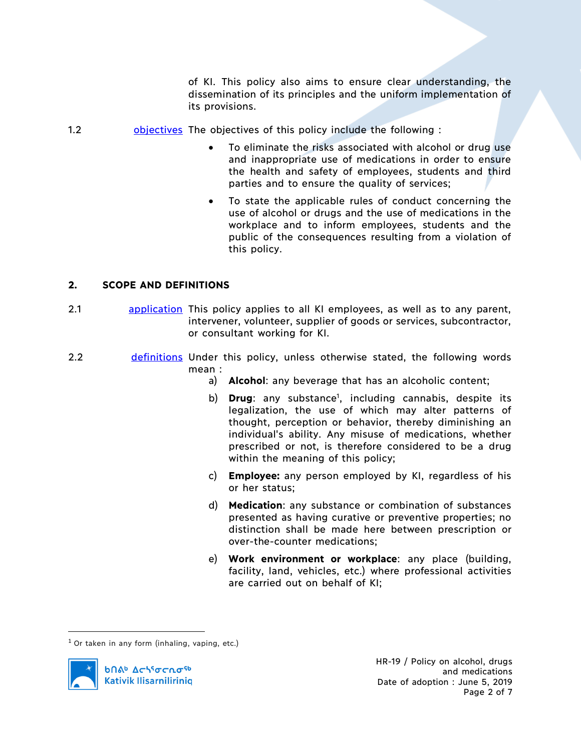of KI. This policy also aims to ensure clear understanding, the dissemination of its principles and the uniform implementation of its provisions.

- 1.2 **bulge objectives** The objectives of this policy include the following :
	- To eliminate the risks associated with alcohol or drug use and inappropriate use of medications in order to ensure the health and safety of employees, students and third parties and to ensure the quality of services;
	- To state the applicable rules of conduct concerning the use of alcohol or drugs and the use of medications in the workplace and to inform employees, students and the public of the consequences resulting from a violation of this policy.

#### **2. SCOPE AND DEFINITIONS**

- 2.1 **application** This policy applies to all KI employees, as well as to any parent, intervener, volunteer, supplier of goods or services, subcontractor, or consultant working for KI.
- 2.2 **definitions** Under this policy, unless otherwise stated, the following words mean :
	- a) **Alcohol**: any beverage that has an alcoholic content;
	- b) **Drug**: any substance<sup>1</sup>, including cannabis, despite its legalization, the use of which may alter patterns of thought, perception or behavior, thereby diminishing an individual's ability. Any misuse of medications, whether prescribed or not, is therefore considered to be a drug within the meaning of this policy;
	- c) **Employee:** any person employed by KI, regardless of his or her status;
	- d) **Medication**: any substance or combination of substances presented as having curative or preventive properties; no distinction shall be made here between prescription or over-the-counter medications;
	- e) **Work environment or workplace**: any place (building, facility, land, vehicles, etc.) where professional activities are carried out on behalf of KI;

 $1$  Or taken in any form (inhaling, vaping, etc.)

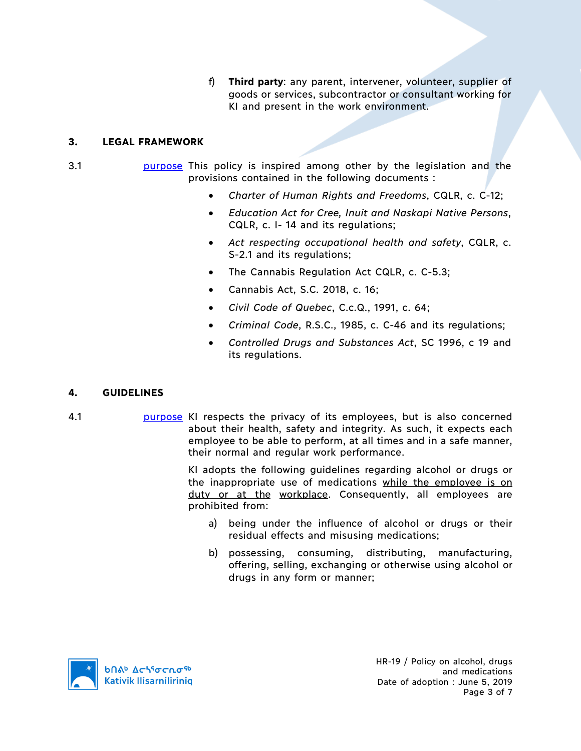f) **Third party**: any parent, intervener, volunteer, supplier of goods or services, subcontractor or consultant working for KI and present in the work environment.

## **3. LEGAL FRAMEWORK**

- 3.1 **purpose** This policy is inspired among other by the legislation and the provisions contained in the following documents :
	- *Charter of Human Rights and Freedoms*, CQLR, c. C-12;
	- *Education Act for Cree, Inuit and Naskapi Native Persons*, CQLR, c. I- 14 and its regulations;
	- *Act respecting occupational health and safety*, CQLR, c. S-2.1 and its regulations;
	- The Cannabis Regulation Act CQLR, c. C-5.3;
	- Cannabis Act, S.C. 2018, c. 16;
	- *Civil Code of Quebec*, C.c.Q., 1991, c. 64;
	- *Criminal Code*, R.S.C., 1985, c. C-46 and its regulations;
	- *Controlled Drugs and Substances Act*, SC 1996, c 19 and its regulations.

# **4. GUIDELINES**

4.1 **purpose** KI respects the privacy of its employees, but is also concerned about their health, safety and integrity. As such, it expects each employee to be able to perform, at all times and in a safe manner, their normal and regular work performance.

> KI adopts the following guidelines regarding alcohol or drugs or the inappropriate use of medications while the employee is on duty or at the workplace. Consequently, all employees are prohibited from:

- a) being under the influence of alcohol or drugs or their residual effects and misusing medications;
- b) possessing, consuming, distributing, manufacturing, offering, selling, exchanging or otherwise using alcohol or drugs in any form or manner;

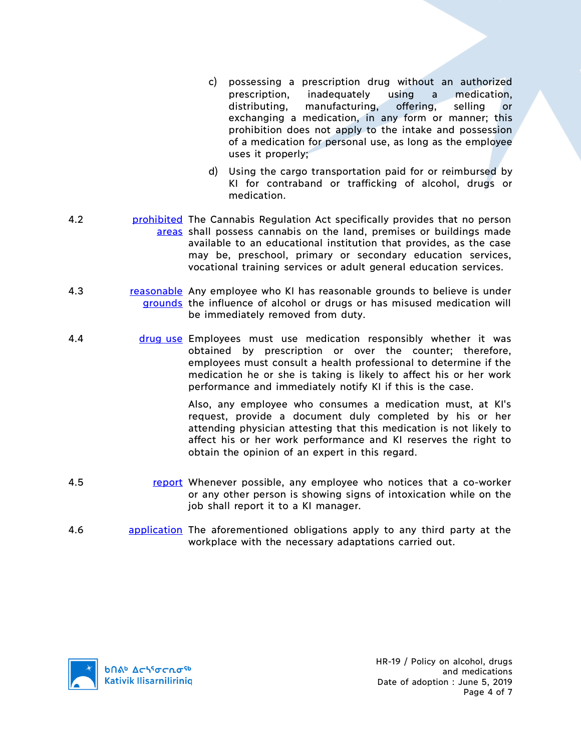- c) possessing a prescription drug without an authorized prescription, inadequately using a medication, distributing, manufacturing, offering, selling or exchanging a medication, in any form or manner; this prohibition does not apply to the intake and possession of a medication for personal use, as long as the employee uses it properly;
- d) Using the cargo transportation paid for or reimbursed by KI for contraband or trafficking of alcohol, drugs or medication.
- 4.2 **prohibited** The Cannabis Regulation Act specifically provides that no person areas shall possess cannabis on the land, premises or buildings made available to an educational institution that provides, as the case may be, preschool, primary or secondary education services, vocational training services or adult general education services.
- 4.3 **reasonable** Any employee who KI has reasonable grounds to believe is under grounds the influence of alcohol or drugs or has misused medication will be immediately removed from duty.
- 4.4 drug use Employees must use medication responsibly whether it was obtained by prescription or over the counter; therefore, employees must consult a health professional to determine if the medication he or she is taking is likely to affect his or her work performance and immediately notify KI if this is the case.

Also, any employee who consumes a medication must, at KI's request, provide a document duly completed by his or her attending physician attesting that this medication is not likely to affect his or her work performance and KI reserves the right to obtain the opinion of an expert in this regard.

- 4.5 **report Whenever possible, any employee who notices that a co-worker** or any other person is showing signs of intoxication while on the job shall report it to a KI manager.
- 4.6 **application** The aforementioned obligations apply to any third party at the workplace with the necessary adaptations carried out.

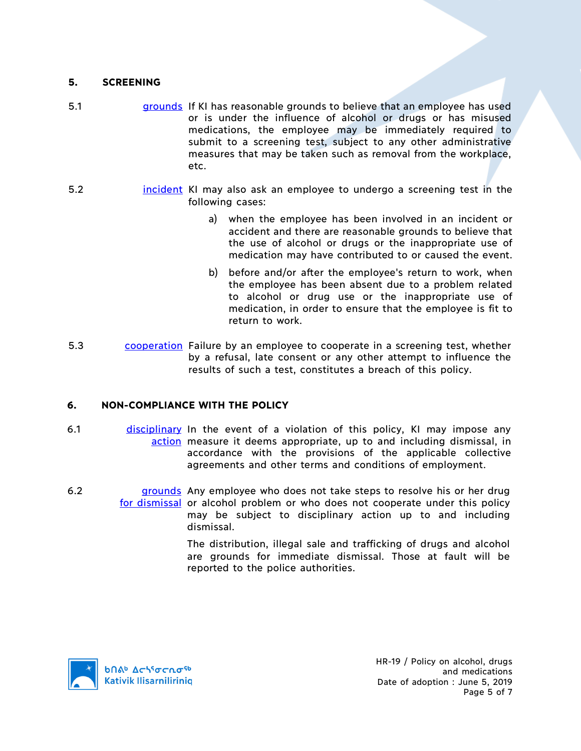## **5. SCREENING**

- 5.1 grounds If KI has reasonable grounds to believe that an employee has used or is under the influence of alcohol or drugs or has misused medications, the employee may be immediately required to submit to a screening test, subject to any other administrative measures that may be taken such as removal from the workplace, etc.
- 5.2 **incident KI may also ask an employee to undergo a screening test in the** following cases:
	- a) when the employee has been involved in an incident or accident and there are reasonable grounds to believe that the use of alcohol or drugs or the inappropriate use of medication may have contributed to or caused the event.
	- b) before and/or after the employee's return to work, when the employee has been absent due to a problem related to alcohol or drug use or the inappropriate use of medication, in order to ensure that the employee is fit to return to work.
- 5.3 cooperation Failure by an employee to cooperate in a screening test, whether by a refusal, late consent or any other attempt to influence the results of such a test, constitutes a breach of this policy.

#### **6. NON-COMPLIANCE WITH THE POLICY**

- 6.1 disciplinary In the event of a violation of this policy, KI may impose any action measure it deems appropriate, up to and including dismissal, in accordance with the provisions of the applicable collective agreements and other terms and conditions of employment.
- 6.2 **grounds** Any employee who does not take steps to resolve his or her drug for dismissal or alcohol problem or who does not cooperate under this policy may be subject to disciplinary action up to and including dismissal.

The distribution, illegal sale and trafficking of drugs and alcohol are grounds for immediate dismissal. Those at fault will be reported to the police authorities.

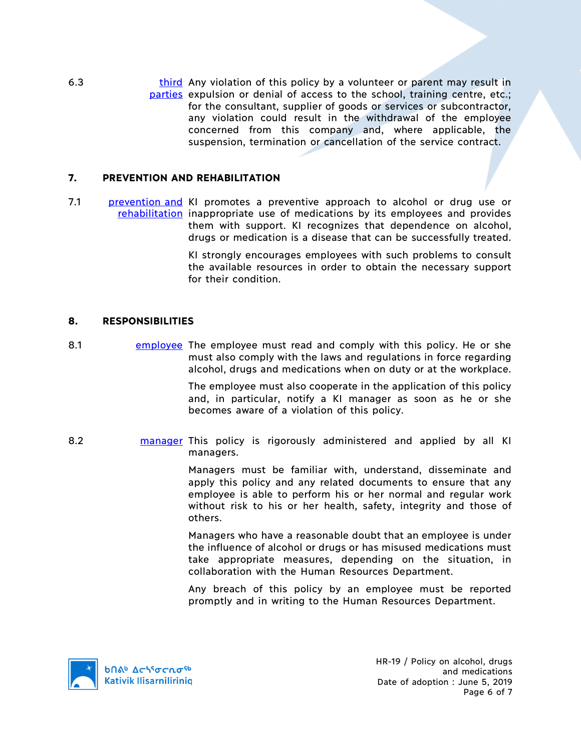6.3 **third** Any violation of this policy by a volunteer or parent may result in parties expulsion or denial of access to the school, training centre, etc.; for the consultant, supplier of goods or services or subcontractor, any violation could result in the withdrawal of the employee concerned from this company and, where applicable, the suspension, termination or cancellation of the service contract.

### **7. PREVENTION AND REHABILITATION**

7.1 **prevention and KI promotes a preventive approach to alcohol or drug use or** rehabilitation inappropriate use of medications by its employees and provides them with support. KI recognizes that dependence on alcohol, drugs or medication is a disease that can be successfully treated.

> KI strongly encourages employees with such problems to consult the available resources in order to obtain the necessary support for their condition.

### **8. RESPONSIBILITIES**

8.1 employee The employee must read and comply with this policy. He or she must also comply with the laws and regulations in force regarding alcohol, drugs and medications when on duty or at the workplace.

> The employee must also cooperate in the application of this policy and, in particular, notify a KI manager as soon as he or she becomes aware of a violation of this policy.

8.2 **manager** This policy is rigorously administered and applied by all KI managers.

> Managers must be familiar with, understand, disseminate and apply this policy and any related documents to ensure that any employee is able to perform his or her normal and regular work without risk to his or her health, safety, integrity and those of others.

> Managers who have a reasonable doubt that an employee is under the influence of alcohol or drugs or has misused medications must take appropriate measures, depending on the situation, in collaboration with the Human Resources Department.

> Any breach of this policy by an employee must be reported promptly and in writing to the Human Resources Department.